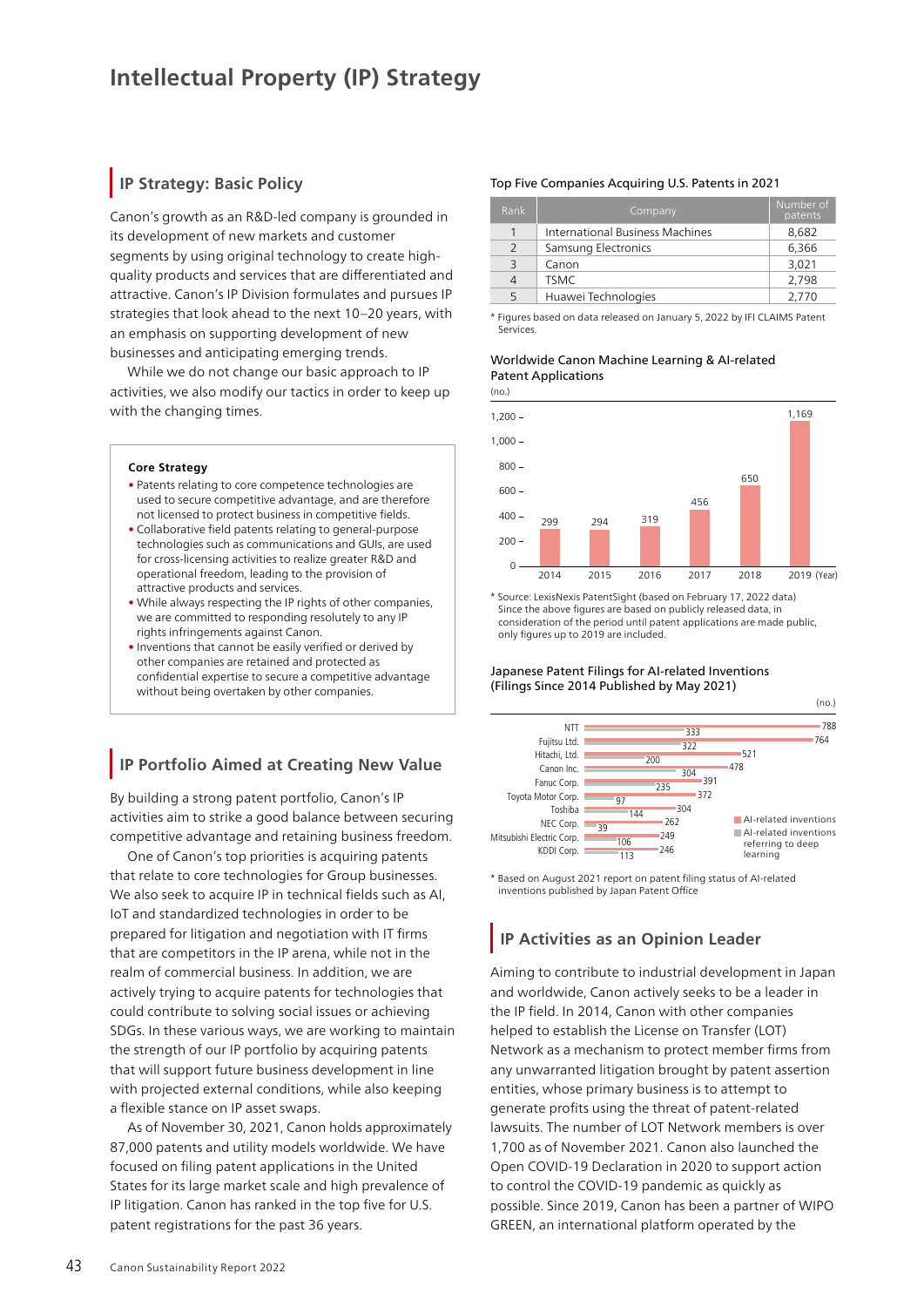# **IP Strategy: Basic Policy**

Canon's growth as an R&D-led company is grounded in its development of new markets and customer segments by using original technology to create highquality products and services that are differentiated and attractive. Canon's IP Division formulates and pursues IP strategies that look ahead to the next 10–20 years, with an emphasis on supporting development of new businesses and anticipating emerging trends.

While we do not change our basic approach to IP activities, we also modify our tactics in order to keep up with the changing times.

## **Core Strategy**

- Patents relating to core competence technologies are used to secure competitive advantage, and are therefore not licensed to protect business in competitive fields.
- Collaborative field patents relating to general-purpose technologies such as communications and GUIs, are used for cross-licensing activities to realize greater R&D and operational freedom, leading to the provision of attractive products and services.
- While always respecting the IP rights of other companies, we are committed to responding resolutely to any IP rights infringements against Canon.
- Inventions that cannot be easily verified or derived by other companies are retained and protected as confidential expertise to secure a competitive advantage without being overtaken by other companies.

# **IP Portfolio Aimed at Creating New Value**

By building a strong patent portfolio, Canon's IP activities aim to strike a good balance between securing competitive advantage and retaining business freedom.

One of Canon's top priorities is acquiring patents that relate to core technologies for Group businesses. We also seek to acquire IP in technical fields such as AI, IoT and standardized technologies in order to be prepared for litigation and negotiation with IT firms that are competitors in the IP arena, while not in the realm of commercial business. In addition, we are actively trying to acquire patents for technologies that could contribute to solving social issues or achieving SDGs. In these various ways, we are working to maintain the strength of our IP portfolio by acquiring patents that will support future business development in line with projected external conditions, while also keeping a flexible stance on IP asset swaps.

As of November 30, 2021, Canon holds approximately 87,000 patents and utility models worldwide. We have focused on filing patent applications in the United States for its large market scale and high prevalence of IP litigation. Canon has ranked in the top five for U.S. patent registrations for the past 36 years.

# Top Five Companies Acquiring U.S. Patents in 2021

| Rank | Company                         | Number of<br>patents |
|------|---------------------------------|----------------------|
|      | International Business Machines | 8,682                |
| 2    | Samsung Electronics             | 6,366                |
| 3    | Canon                           | 3,021                |
| 4    | <b>TSMC</b>                     | 2,798                |
| 5    | Huawei Technologies             | 2.770                |

\* Figures based on data released on January 5, 2022 by IFI CLAIMS Patent Services.

## Worldwide Canon Machine Learning & AI-related Patent Applications



\* Source: LexisNexis PatentSight (based on February 17, 2022 data) Since the above figures are based on publicly released data, in consideration of the period until patent applications are made public, only figures up to 2019 are included.

## Japanese Patent Filings for AI-related Inventions (Filings Since 2014 Published by May 2021)



\* Based on August 2021 report on patent filing status of AI-related inventions published by Japan Patent Office

# **IP Activities as an Opinion Leader**

Aiming to contribute to industrial development in Japan and worldwide, Canon actively seeks to be a leader in the IP field. In 2014, Canon with other companies helped to establish the License on Transfer (LOT) Network as a mechanism to protect member firms from any unwarranted litigation brought by patent assertion entities, whose primary business is to attempt to generate profits using the threat of patent-related lawsuits. The number of LOT Network members is over 1,700 as of November 2021. Canon also launched the Open COVID-19 Declaration in 2020 to support action to control the COVID-19 pandemic as quickly as possible. Since 2019, Canon has been a partner of WIPO GREEN, an international platform operated by the